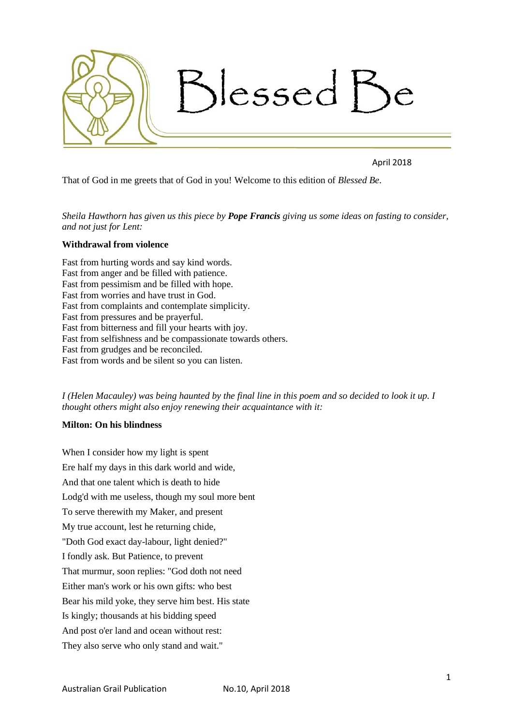

April 2018

That of God in me greets that of God in you! Welcome to this edition of *Blessed Be*.

*Sheila Hawthorn has given us this piece by Pope Francis giving us some ideas on fasting to consider, and not just for Lent:*

# **Withdrawal from violence**

Fast from hurting words and say kind words. Fast from anger and be filled with patience. Fast from pessimism and be filled with hope. Fast from worries and have trust in God. Fast from complaints and contemplate simplicity. Fast from pressures and be prayerful. Fast from bitterness and fill your hearts with joy. Fast from selfishness and be compassionate towards others. Fast from grudges and be reconciled. Fast from words and be silent so you can listen.

*I (Helen Macauley) was being haunted by the final line in this poem and so decided to look it up. I thought others might also enjoy renewing their acquaintance with it:*

#### **Milton: On his blindness**

When I consider how my light is spent Ere half my days in this dark world and wide, And that one talent which is death to hide Lodg'd with me useless, though my soul more bent To serve therewith my Maker, and present My true account, lest he returning chide, "Doth God exact day-labour, light denied?" I fondly ask. But Patience, to prevent That murmur, soon replies: "God doth not need Either man's work or his own gifts: who best Bear his mild yoke, they serve him best. His state Is kingly; thousands at his bidding speed And post o'er land and ocean without rest: They also serve who only stand and wait."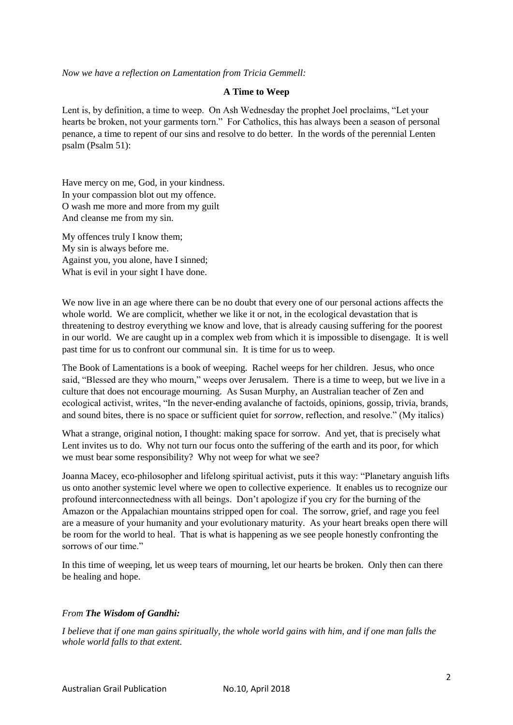*Now we have a reflection on Lamentation from Tricia Gemmell:*

#### **A Time to Weep**

Lent is, by definition, a time to weep. On Ash Wednesday the prophet Joel proclaims, "Let your hearts be broken, not your garments torn." For Catholics, this has always been a season of personal penance, a time to repent of our sins and resolve to do better. In the words of the perennial Lenten psalm (Psalm 51):

Have mercy on me, God, in your kindness. In your compassion blot out my offence. O wash me more and more from my guilt And cleanse me from my sin.

My offences truly I know them; My sin is always before me. Against you, you alone, have I sinned; What is evil in your sight I have done.

We now live in an age where there can be no doubt that every one of our personal actions affects the whole world. We are complicit, whether we like it or not, in the ecological devastation that is threatening to destroy everything we know and love, that is already causing suffering for the poorest in our world. We are caught up in a complex web from which it is impossible to disengage. It is well past time for us to confront our communal sin. It is time for us to weep.

The Book of Lamentations is a book of weeping. Rachel weeps for her children. Jesus, who once said, "Blessed are they who mourn," weeps over Jerusalem. There is a time to weep, but we live in a culture that does not encourage mourning. As Susan Murphy, an Australian teacher of Zen and ecological activist, writes, "In the never-ending avalanche of factoids, opinions, gossip, trivia, brands, and sound bites, there is no space or sufficient quiet for *sorrow*, reflection, and resolve." (My italics)

What a strange, original notion, I thought: making space for sorrow. And yet, that is precisely what Lent invites us to do. Why not turn our focus onto the suffering of the earth and its poor, for which we must bear some responsibility? Why not weep for what we see?

Joanna Macey, eco-philosopher and lifelong spiritual activist, puts it this way: "Planetary anguish lifts us onto another systemic level where we open to collective experience. It enables us to recognize our profound interconnectedness with all beings. Don't apologize if you cry for the burning of the Amazon or the Appalachian mountains stripped open for coal. The sorrow, grief, and rage you feel are a measure of your humanity and your evolutionary maturity. As your heart breaks open there will be room for the world to heal. That is what is happening as we see people honestly confronting the sorrows of our time."

In this time of weeping, let us weep tears of mourning, let our hearts be broken. Only then can there be healing and hope.

### *From The Wisdom of Gandhi:*

*I believe that if one man gains spiritually, the whole world gains with him, and if one man falls the whole world falls to that extent.*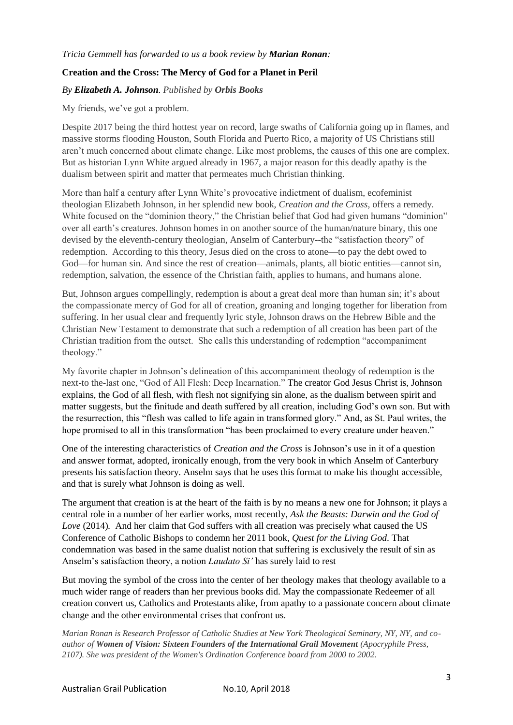## **Creation and the Cross: The Mercy of God for a Planet in Peril**

## *By Elizabeth A. Johnson. Published by Orbis Books*

My friends, we've got a problem.

Despite 2017 being the third hottest year on record, large swaths of California going up in flames, and massive storms flooding Houston, South Florida and Puerto Rico, a majority of US Christians still aren't much concerned about climate change. Like most problems, the causes of this one are complex. But as historian Lynn White argued already in 1967, a major reason for this deadly apathy is the dualism between spirit and matter that permeates much Christian thinking.

More than half a century after Lynn White's provocative indictment of dualism, ecofeminist theologian Elizabeth Johnson, in her splendid new book, *Creation and the Cross,* offers a remedy*.*  White focused on the "dominion theory," the Christian belief that God had given humans "dominion" over all earth's creatures. Johnson homes in on another source of the human/nature binary, this one devised by the eleventh-century theologian, Anselm of Canterbury--the "satisfaction theory" of redemption. According to this theory, Jesus died on the cross to atone—to pay the debt owed to God—for human sin. And since the rest of creation—animals, plants, all biotic entities—cannot sin, redemption, salvation, the essence of the Christian faith, applies to humans, and humans alone.

But, Johnson argues compellingly, redemption is about a great deal more than human sin; it's about the compassionate mercy of God for all of creation, groaning and longing together for liberation from suffering. In her usual clear and frequently lyric style, Johnson draws on the Hebrew Bible and the Christian New Testament to demonstrate that such a redemption of all creation has been part of the Christian tradition from the outset. She calls this understanding of redemption "accompaniment theology."

My favorite chapter in Johnson's delineation of this accompaniment theology of redemption is the next-to the-last one, "God of All Flesh: Deep Incarnation." The creator God Jesus Christ is, Johnson explains, the God of all flesh, with flesh not signifying sin alone, as the dualism between spirit and matter suggests, but the finitude and death suffered by all creation, including God's own son. But with the resurrection, this "flesh was called to life again in transformed glory." And, as St. Paul writes, the hope promised to all in this transformation "has been proclaimed to every creature under heaven."

One of the interesting characteristics of *Creation and the Cross* is Johnson's use in it of a question and answer format, adopted, ironically enough, from the very book in which Anselm of Canterbury presents his satisfaction theory. Anselm says that he uses this format to make his thought accessible, and that is surely what Johnson is doing as well.

The argument that creation is at the heart of the faith is by no means a new one for Johnson; it plays a central role in a number of her earlier works, most recently, *Ask the Beasts: Darwin and the God of Love* (2014)*.* And her claim that God suffers with all creation was precisely what caused the US Conference of Catholic Bishops to condemn her 2011 book, *Quest for the Living God*. That condemnation was based in the same dualist notion that suffering is exclusively the result of sin as Anselm's satisfaction theory, a notion *Laudato Si'* has surely laid to rest

But moving the symbol of the cross into the center of her theology makes that theology available to a much wider range of readers than her previous books did. May the compassionate Redeemer of all creation convert us, Catholics and Protestants alike, from apathy to a passionate concern about climate change and the other environmental crises that confront us.

*Marian Ronan is Research Professor of Catholic Studies at New York Theological Seminary, NY, NY, and coauthor of Women of Vision: Sixteen Founders of the International Grail Movement (Apocryphile Press, 2107). She was president of the Women's Ordination Conference board from 2000 to 2002.*